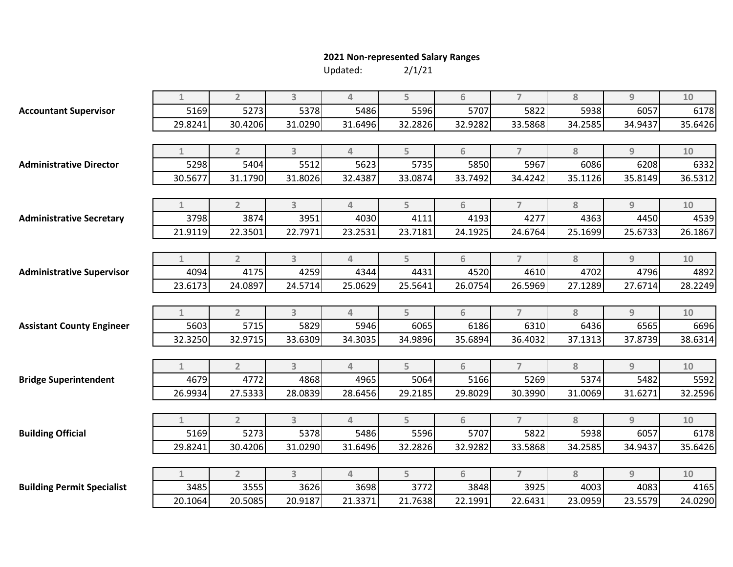## **2021 Non-represented Salary Ranges**

Updated:

| 2/1/21 |  |
|--------|--|
|        |  |

|                                   | $\mathbf{1}$ | $\overline{2}$ | $\overline{3}$ | 4              | 5       | 6       | $\overline{7}$ | 8       | $\overline{9}$ | 10      |
|-----------------------------------|--------------|----------------|----------------|----------------|---------|---------|----------------|---------|----------------|---------|
| <b>Accountant Supervisor</b>      | 5169         | 5273           | 5378           | 5486           | 5596    | 5707    | 5822           | 5938    | 6057           | 6178    |
|                                   | 29.8241      | 30.4206        | 31.0290        | 31.6496        | 32.2826 | 32.9282 | 33.5868        | 34.2585 | 34.9437        | 35.6426 |
|                                   |              |                |                |                |         |         |                |         |                |         |
|                                   | 1            | $\overline{2}$ | $\overline{3}$ | 4              | 5       | 6       | $\overline{7}$ | 8       | 9              | 10      |
| <b>Administrative Director</b>    | 5298         | 5404           | 5512           | 5623           | 5735    | 5850    | 5967           | 6086    | 6208           | 6332    |
|                                   | 30.5677      | 31.1790        | 31.8026        | 32.4387        | 33.0874 | 33.7492 | 34.4242        | 35.1126 | 35.8149        | 36.5312 |
|                                   |              |                |                |                |         |         |                |         |                |         |
|                                   | $\mathbf{1}$ | $\overline{2}$ | $\overline{3}$ | $\overline{4}$ | 5       | 6       | $\overline{7}$ | 8       | $\overline{9}$ | 10      |
| <b>Administrative Secretary</b>   | 3798         | 3874           | 3951           | 4030           | 4111    | 4193    | 4277           | 4363    | 4450           | 4539    |
|                                   | 21.9119      | 22.3501        | 22.7971        | 23.2531        | 23.7181 | 24.1925 | 24.6764        | 25.1699 | 25.6733        | 26.1867 |
|                                   |              |                |                |                |         |         |                |         |                |         |
|                                   | 1            | $2^{\circ}$    | 3              | 4              | 5       | 6       | $\overline{7}$ | 8       | $\overline{9}$ | 10      |
| <b>Administrative Supervisor</b>  | 4094         | 4175           | 4259           | 4344           | 4431    | 4520    | 4610           | 4702    | 4796           | 4892    |
|                                   | 23.6173      | 24.0897        | 24.5714        | 25.0629        | 25.5641 | 26.0754 | 26.5969        | 27.1289 | 27.6714        | 28.2249 |
|                                   |              |                |                |                |         |         |                |         |                |         |
|                                   | 1            | $\overline{2}$ | $\overline{3}$ | $\Delta$       | 5       | 6       | $\overline{7}$ | 8       | $\overline{9}$ | 10      |
| <b>Assistant County Engineer</b>  | 5603         | 5715           | 5829           | 5946           | 6065    | 6186    | 6310           | 6436    | 6565           | 6696    |
|                                   | 32.3250      | 32.9715        | 33.6309        | 34.3035        | 34.9896 | 35.6894 | 36.4032        | 37.1313 | 37.8739        | 38.6314 |
|                                   |              |                |                |                |         |         |                |         |                |         |
|                                   | 1            | $\overline{2}$ | $\overline{3}$ | 4              | 5       | 6       | $\overline{7}$ | 8       | 9              | 10      |
| <b>Bridge Superintendent</b>      | 4679         | 4772           | 4868           | 4965           | 5064    | 5166    | 5269           | 5374    | 5482           | 5592    |
|                                   | 26.9934      | 27.5333        | 28.0839        | 28.6456        | 29.2185 | 29.8029 | 30.3990        | 31.0069 | 31.6271        | 32.2596 |
|                                   |              |                |                |                |         |         |                |         |                |         |
|                                   | $\mathbf{1}$ | $\overline{2}$ | $\overline{3}$ | $\Delta$       | 5       | 6       | $\overline{7}$ | 8       | $\overline{9}$ | 10      |
| <b>Building Official</b>          | 5169         | 5273           | 5378           | 5486           | 5596    | 5707    | 5822           | 5938    | 6057           | 6178    |
|                                   | 29.8241      | 30.4206        | 31.0290        | 31.6496        | 32.2826 | 32.9282 | 33.5868        | 34.2585 | 34.9437        | 35.6426 |
|                                   |              |                |                |                |         |         |                |         |                |         |
|                                   | 1            | $\overline{2}$ | $\overline{3}$ | 4              | 5       | 6       | $\overline{7}$ | 8       | 9              | 10      |
| <b>Building Permit Specialist</b> | 3485         | 3555           | 3626           | 3698           | 3772    | 3848    | 3925           | 4003    | 4083           | 4165    |
|                                   | 20.1064      | 20.5085        | 20.9187        | 21.3371        | 21.7638 | 22.1991 | 22.6431        | 23.0959 | 23.5579        | 24.0290 |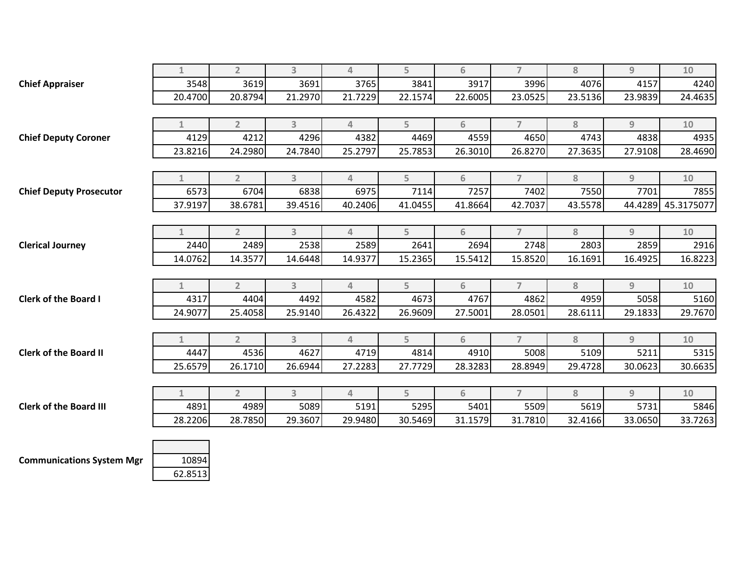|                                | $\mathbf{1}$ | $\overline{2}$ | 3                       | $\overline{4}$ | 5       | 6       | $\overline{7}$ | 8       | $\overline{9}$ | $10$               |
|--------------------------------|--------------|----------------|-------------------------|----------------|---------|---------|----------------|---------|----------------|--------------------|
| <b>Chief Appraiser</b>         | 3548         | 3619           | 3691                    | 3765           | 3841    | 3917    | 3996           | 4076    | 4157           | 4240               |
|                                | 20.4700      | 20.8794        | 21.2970                 | 21.7229        | 22.1574 | 22.6005 | 23.0525        | 23.5136 | 23.9839        | 24.4635            |
|                                |              |                |                         |                |         |         |                |         |                |                    |
|                                | $\mathbf{1}$ | $\overline{2}$ | $\overline{3}$          | 4              | 5       | 6       | $\overline{7}$ | 8       | 9              | 10                 |
| <b>Chief Deputy Coroner</b>    | 4129         | 4212           | 4296                    | 4382           | 4469    | 4559    | 4650           | 4743    | 4838           | 4935               |
|                                | 23.8216      | 24.2980        | 24.7840                 | 25.2797        | 25.7853 | 26.3010 | 26.8270        | 27.3635 | 27.9108        | 28.4690            |
|                                |              |                |                         |                |         |         |                |         |                |                    |
|                                | $\mathbf{1}$ | $\overline{2}$ | $\overline{\mathbf{3}}$ | 4              | 5       | 6       | $\overline{7}$ | 8       | 9              | 10                 |
| <b>Chief Deputy Prosecutor</b> | 6573         | 6704           | 6838                    | 6975           | 7114    | 7257    | 7402           | 7550    | 7701           | 7855               |
|                                | 37.9197      | 38.6781        | 39.4516                 | 40.2406        | 41.0455 | 41.8664 | 42.7037        | 43.5578 |                | 44.4289 45.3175077 |
|                                |              |                |                         |                |         |         |                |         |                |                    |
|                                | $\mathbf{1}$ | $2^{\circ}$    | $\overline{\mathbf{3}}$ | $\overline{4}$ | 5       | 6       | $\overline{7}$ | 8       | 9              | 10                 |
| <b>Clerical Journey</b>        | 2440         | 2489           | 2538                    | 2589           | 2641    | 2694    | 2748           | 2803    | 2859           | 2916               |
|                                | 14.0762      | 14.3577        | 14.6448                 | 14.9377        | 15.2365 | 15.5412 | 15.8520        | 16.1691 | 16.4925        | 16.8223            |
|                                |              |                |                         |                |         |         |                |         |                |                    |
|                                | $\mathbf{1}$ | $2^{\circ}$    | $\overline{3}$          | 4              | 5       | 6       | $\overline{7}$ | 8       | 9              | 10                 |
| <b>Clerk of the Board I</b>    | 4317         | 4404           | 4492                    | 4582           | 4673    | 4767    | 4862           | 4959    | 5058           | 5160               |
|                                | 24.9077      | 25.4058        | 25.9140                 | 26.4322        | 26.9609 | 27.5001 | 28.0501        | 28.6111 | 29.1833        | 29.7670            |
|                                |              |                |                         |                |         |         |                |         |                |                    |
|                                | $\mathbf{1}$ | $\overline{2}$ | $\overline{3}$          | $\overline{4}$ | 5       | 6       | $\overline{7}$ | 8       | 9              | 10                 |
| <b>Clerk of the Board II</b>   | 4447         | 4536           | 4627                    | 4719           | 4814    | 4910    | 5008           | 5109    | 5211           | 5315               |
|                                | 25.6579      | 26.1710        | 26.6944                 | 27.2283        | 27.7729 | 28.3283 | 28.8949        | 29.4728 | 30.0623        | 30.6635            |
|                                |              |                |                         |                |         |         |                |         |                |                    |
|                                | $\mathbf{1}$ | $\overline{2}$ | $\overline{\mathbf{3}}$ | $\overline{4}$ | 5       | 6       | $\overline{7}$ | 8       | 9              | 10                 |
| <b>Clerk of the Board III</b>  | 4891         | 4989           | 5089                    | 5191           | 5295    | 5401    | 5509           | 5619    | 5731           | 5846               |
|                                | 28.2206      | 28.7850        | 29.3607                 | 29.9480        | 30.5469 | 31.1579 | 31.7810        | 32.4166 | 33.0650        | 33.7263            |
|                                |              |                |                         |                |         |         |                |         |                |                    |
|                                |              |                |                         |                |         |         |                |         |                |                    |

**Communications System Mgr** 10894

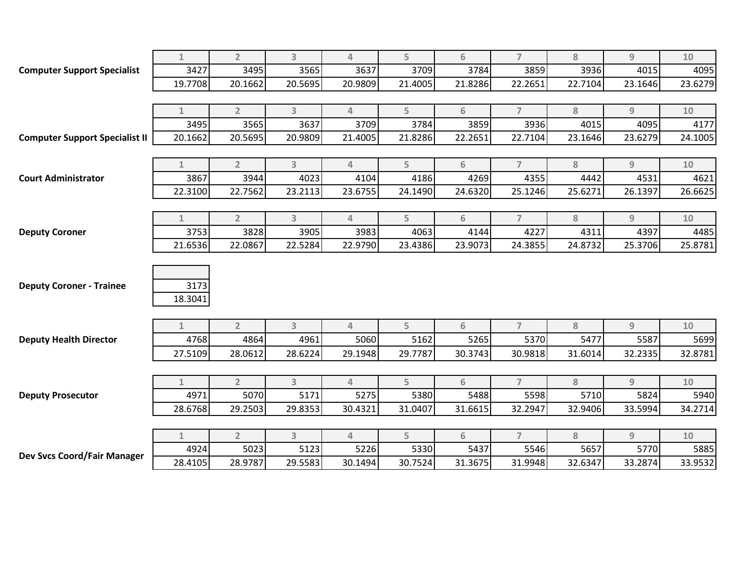|                                       | $\mathbf{1}$    | $\overline{2}$ | 3              | $\overline{4}$ | 5       | 6       | $\overline{7}$ | 8       | $\overline{9}$ | 10      |
|---------------------------------------|-----------------|----------------|----------------|----------------|---------|---------|----------------|---------|----------------|---------|
| <b>Computer Support Specialist</b>    | 3427            | 3495           | 3565           | 3637           | 3709    | 3784    | 3859           | 3936    | 4015           | 4095    |
|                                       | 19.7708         | 20.1662        | 20.5695        | 20.9809        | 21.4005 | 21.8286 | 22.2651        | 22.7104 | 23.1646        | 23.6279 |
|                                       |                 |                |                |                |         |         |                |         |                |         |
|                                       | $\mathbf{1}$    | $\overline{2}$ | 3              | $\overline{4}$ | 5       | 6       | $\overline{7}$ | 8       | $\overline{9}$ | $10$    |
|                                       | 3495            | 3565           | 3637           | 3709           | 3784    | 3859    | 3936           | 4015    | 4095           | 4177    |
| <b>Computer Support Specialist II</b> | 20.1662         | 20.5695        | 20.9809        | 21.4005        | 21.8286 | 22.2651 | 22.7104        | 23.1646 | 23.6279        | 24.1005 |
|                                       |                 |                |                |                |         |         |                |         |                |         |
|                                       | $\mathbf{1}$    | $\overline{2}$ | 3              | $\overline{4}$ | 5       | 6       | $\overline{7}$ | 8       | 9              | 10      |
| <b>Court Administrator</b>            | 3867            | 3944           | 4023           | 4104           | 4186    | 4269    | 4355           | 4442    | 4531           | 4621    |
|                                       | 22.3100         | 22.7562        | 23.2113        | 23.6755        | 24.1490 | 24.6320 | 25.1246        | 25.6271 | 26.1397        | 26.6625 |
|                                       |                 |                |                |                |         |         |                |         |                |         |
|                                       | $\mathbf{1}$    | $\overline{2}$ | 3              | 4              | 5       | 6       | $\overline{7}$ | 8       | 9              | 10      |
| <b>Deputy Coroner</b>                 | 3753            | 3828           | 3905           | 3983           | 4063    | 4144    | 4227           | 4311    | 4397           | 4485    |
|                                       | 21.6536         | 22.0867        | 22.5284        | 22.9790        | 23.4386 | 23.9073 | 24.3855        | 24.8732 | 25.3706        | 25.8781 |
| <b>Deputy Coroner - Trainee</b>       | 3173<br>18.3041 |                |                |                |         |         |                |         |                |         |
|                                       | $\mathbf{1}$    | $\overline{2}$ | 3              | $\Delta$       | 5       | 6       | $\overline{7}$ | 8       | 9              | 10      |
| <b>Deputy Health Director</b>         | 4768            | 4864           | 4961           | 5060           | 5162    | 5265    | 5370           | 5477    | 5587           | 5699    |
|                                       | 27.5109         | 28.0612        | 28.6224        | 29.1948        | 29.7787 | 30.3743 | 30.9818        | 31.6014 | 32.2335        | 32.8781 |
|                                       |                 |                |                |                |         |         |                |         |                |         |
|                                       | $\mathbf{1}$    | $\overline{2}$ | $\overline{3}$ | $\overline{4}$ | 5       | 6       | $\overline{7}$ | 8       | 9              | 10      |
| <b>Deputy Prosecutor</b>              | 4971            | 5070           | 5171           | 5275           | 5380    | 5488    | 5598           | 5710    | 5824           | 5940    |
|                                       | 28.6768         | 29.2503        | 29.8353        | 30.4321        | 31.0407 | 31.6615 | 32.2947        | 32.9406 | 33.5994        | 34.2714 |
|                                       |                 |                |                |                |         |         |                |         |                |         |
|                                       | $\mathbf{1}$    | $\overline{2}$ | 3              | $\overline{4}$ | 5       | 6       | $\overline{7}$ | 8       | $\overline{9}$ | 10      |
| Dev Svcs Coord/Fair Manager           | 4924            | 5023           | 5123           | 5226           | 5330    | 5437    | 5546           | 5657    | 5770           | 5885    |
|                                       | 28.4105         | 28.9787        | 29.5583        | 30.1494        | 30.7524 | 31.3675 | 31.9948        | 32.6347 | 33.2874        | 33.9532 |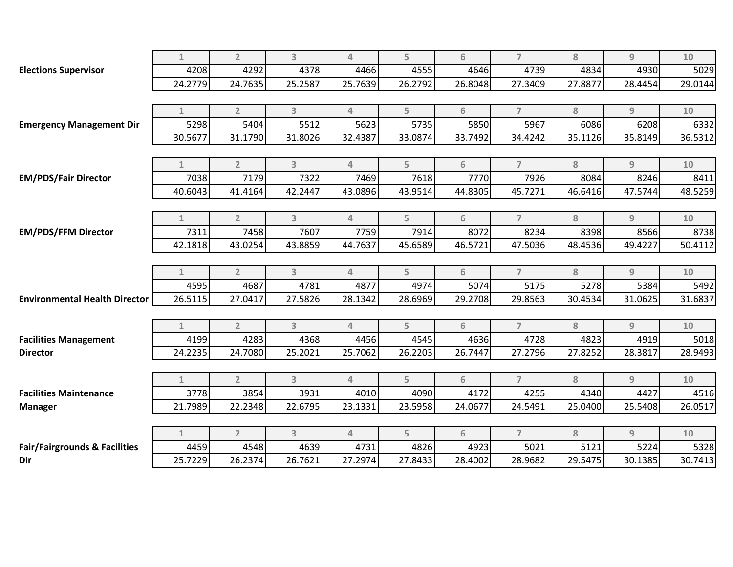|                                          | $\mathbf{1}$ | $\overline{2}$ | 3              | $\overline{4}$ | 5       | 6       | $\overline{7}$ | 8       | 9       | 10      |
|------------------------------------------|--------------|----------------|----------------|----------------|---------|---------|----------------|---------|---------|---------|
| <b>Elections Supervisor</b>              | 4208         | 4292           | 4378           | 4466           | 4555    | 4646    | 4739           | 4834    | 4930    | 5029    |
|                                          | 24.2779      | 24.7635        | 25.2587        | 25.7639        | 26.2792 | 26.8048 | 27.3409        | 27.8877 | 28.4454 | 29.0144 |
|                                          |              |                |                |                |         |         |                |         |         |         |
|                                          | 1            | $\overline{2}$ | $\overline{3}$ | $\overline{4}$ | 5       | 6       | $\overline{7}$ | 8       | 9       | 10      |
| <b>Emergency Management Dir</b>          | 5298         | 5404           | 5512           | 5623           | 5735    | 5850    | 5967           | 6086    | 6208    | 6332    |
|                                          | 30.5677      | 31.1790        | 31.8026        | 32.4387        | 33.0874 | 33.7492 | 34.4242        | 35.1126 | 35.8149 | 36.5312 |
|                                          |              |                |                |                |         |         |                |         |         |         |
|                                          | $\mathbf{1}$ | $\overline{2}$ | $\overline{3}$ | $\Delta$       | 5       | 6       | $\overline{7}$ | 8       | 9       | 10      |
| <b>EM/PDS/Fair Director</b>              | 7038         | 7179           | 7322           | 7469           | 7618    | 7770l   | 7926           | 8084    | 8246    | 8411    |
|                                          | 40.6043      | 41.4164        | 42.2447        | 43.0896        | 43.9514 | 44.8305 | 45.7271        | 46.6416 | 47.5744 | 48.5259 |
|                                          |              |                |                |                |         |         |                |         |         |         |
|                                          | $\mathbf{1}$ | $\overline{2}$ | $\overline{3}$ | $\overline{4}$ | 5       | 6       | $\overline{7}$ | 8       | 9       | 10      |
| <b>EM/PDS/FFM Director</b>               | 7311         | 7458           | 7607           | 7759           | 7914    | 8072    | 8234           | 8398    | 8566    | 8738    |
|                                          | 42.1818      | 43.0254        | 43.8859        | 44.7637        | 45.6589 | 46.5721 | 47.5036        | 48.4536 | 49.4227 | 50.4112 |
|                                          |              |                |                |                |         |         |                |         |         |         |
|                                          | $\mathbf{1}$ | $\overline{2}$ | 3              | $\overline{4}$ | 5       | 6       | $\overline{7}$ | 8       | 9       | $10$    |
|                                          | 4595         | 4687           | 4781           | 4877           | 4974    | 5074    | 5175           | 5278    | 5384    | 5492    |
| <b>Environmental Health Director</b>     | 26.5115      | 27.0417        | 27.5826        | 28.1342        | 28.6969 | 29.2708 | 29.8563        | 30.4534 | 31.0625 | 31.6837 |
|                                          |              |                |                |                |         |         |                |         |         |         |
|                                          | $\mathbf{1}$ | $\overline{2}$ | 3              | $\overline{4}$ | 5       | 6       | $\overline{7}$ | 8       | 9       | $10$    |
| <b>Facilities Management</b>             | 4199         | 4283           | 4368           | 4456           | 4545    | 4636    | 4728           | 4823    | 4919    | 5018    |
| <b>Director</b>                          | 24.2235      | 24.7080        | 25.2021        | 25.7062        | 26.2203 | 26.7447 | 27.2796        | 27.8252 | 28.3817 | 28.9493 |
|                                          |              |                |                |                |         |         |                |         |         |         |
|                                          | $\mathbf{1}$ | $\overline{2}$ | $\overline{3}$ | $\overline{4}$ | 5       | 6       | $\overline{7}$ | 8       | 9       | 10      |
| <b>Facilities Maintenance</b>            | 3778         | 3854           | 3931           | 4010           | 4090    | 4172    | 4255           | 4340    | 4427    | 4516    |
| <b>Manager</b>                           | 21.7989      | 22.2348        | 22.6795        | 23.1331        | 23.5958 | 24.0677 | 24.5491        | 25.0400 | 25.5408 | 26.0517 |
|                                          |              |                |                |                |         |         |                |         |         |         |
|                                          | $\mathbf{1}$ | $\overline{2}$ | $\overline{3}$ | $\overline{4}$ | 5       | 6       | $\overline{7}$ | 8       | 9       | 10      |
| <b>Fair/Fairgrounds &amp; Facilities</b> | 4459         | 4548           | 4639           | 4731           | 4826    | 4923    | 5021           | 5121    | 5224    | 5328    |
| Dir                                      | 25.7229      | 26.2374        | 26.7621        | 27.2974        | 27.8433 | 28.4002 | 28.9682        | 29.5475 | 30.1385 | 30.7413 |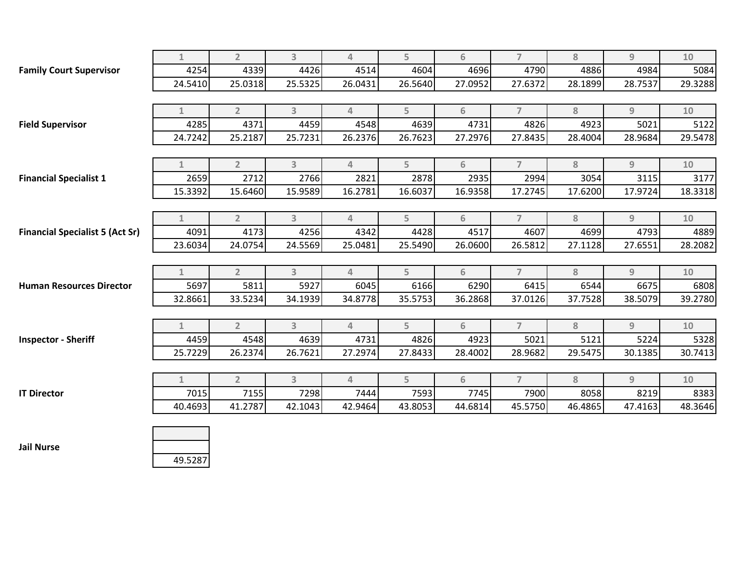|                                        | $\mathbf{1}$ | $\overline{2}$ | 3       | $\overline{4}$ | 5       | 6       | $\overline{7}$ | 8       | 9              | 10      |
|----------------------------------------|--------------|----------------|---------|----------------|---------|---------|----------------|---------|----------------|---------|
| <b>Family Court Supervisor</b>         | 4254         | 4339           | 4426    | 4514           | 4604    | 4696    | 4790           | 4886    | 4984           | 5084    |
|                                        | 24.5410      | 25.0318        | 25.5325 | 26.0431        | 26.5640 | 27.0952 | 27.6372        | 28.1899 | 28.7537        | 29.3288 |
|                                        |              |                |         |                |         |         |                |         |                |         |
|                                        | $\mathbf{1}$ | $\overline{2}$ | 3       | $\overline{4}$ | 5       | 6       | $\overline{7}$ | 8       | 9              | 10      |
| <b>Field Supervisor</b>                | 4285         | 4371           | 4459    | 4548           | 4639    | 4731    | 4826           | 4923    | 5021           | 5122    |
|                                        | 24.7242      | 25.2187        | 25.7231 | 26.2376        | 26.7623 | 27.2976 | 27.8435        | 28.4004 | 28.9684        | 29.5478 |
|                                        |              |                |         |                |         |         |                |         |                |         |
|                                        | $\mathbf{1}$ | $\overline{2}$ | 3       | $\overline{4}$ | 5       | 6       | $\overline{7}$ | 8       | 9              | $10$    |
| <b>Financial Specialist 1</b>          | 2659         | 2712           | 2766    | 2821           | 2878    | 2935    | 2994           | 3054    | 3115           | 3177    |
|                                        | 15.3392      | 15.6460        | 15.9589 | 16.2781        | 16.6037 | 16.9358 | 17.2745        | 17.6200 | 17.9724        | 18.3318 |
|                                        |              |                |         |                |         |         |                |         |                |         |
|                                        | $\mathbf{1}$ | $\overline{2}$ | 3       | $\overline{4}$ | 5       | 6       | $\overline{7}$ | 8       | 9              | 10      |
| <b>Financial Specialist 5 (Act Sr)</b> | 4091         | 4173           | 4256    | 4342           | 4428    | 4517    | 4607           | 4699    | 4793           | 4889    |
|                                        | 23.6034      | 24.0754        | 24.5569 | 25.0481        | 25.5490 | 26.0600 | 26.5812        | 27.1128 | 27.6551        | 28.2082 |
|                                        |              |                |         |                |         |         |                |         |                |         |
|                                        | $\mathbf{1}$ | $\overline{2}$ | 3       | $\overline{4}$ | 5       | 6       | $\overline{7}$ | 8       | $\overline{9}$ | $10$    |
| <b>Human Resources Director</b>        | 5697         | 5811           | 5927    | 6045           | 6166    | 6290    | 6415           | 6544    | 6675           | 6808    |
|                                        | 32.8661      | 33.5234        | 34.1939 | 34.8778        | 35.5753 | 36.2868 | 37.0126        | 37.7528 | 38.5079        | 39.2780 |
|                                        |              |                |         |                |         |         |                |         |                |         |
|                                        | $\mathbf{1}$ | $\overline{2}$ | 3       | $\overline{4}$ | 5       | 6       | $\overline{7}$ | 8       | 9              | 10      |
| <b>Inspector - Sheriff</b>             | 4459         | 4548           | 4639    | 4731           | 4826    | 4923    | 5021           | 5121    | 5224           | 5328    |
|                                        | 25.7229      | 26.2374        | 26.7621 | 27.2974        | 27.8433 | 28.4002 | 28.9682        | 29.5475 | 30.1385        | 30.7413 |
|                                        |              |                |         |                |         |         |                |         |                |         |
|                                        | $\mathbf{1}$ | $\overline{2}$ | 3       | $\overline{4}$ | 5       | 6       | $\overline{7}$ | 8       | $\overline{9}$ | 10      |
| <b>IT Director</b>                     | 7015         | 7155           | 7298    | 7444           | 7593    | 7745    | 7900           | 8058    | 8219           | 8383    |
|                                        | 40.4693      | 41.2787        | 42.1043 | 42.9464        | 43.8053 | 44.6814 | 45.5750        | 46.4865 | 47.4163        | 48.3646 |
|                                        |              |                |         |                |         |         |                |         |                |         |



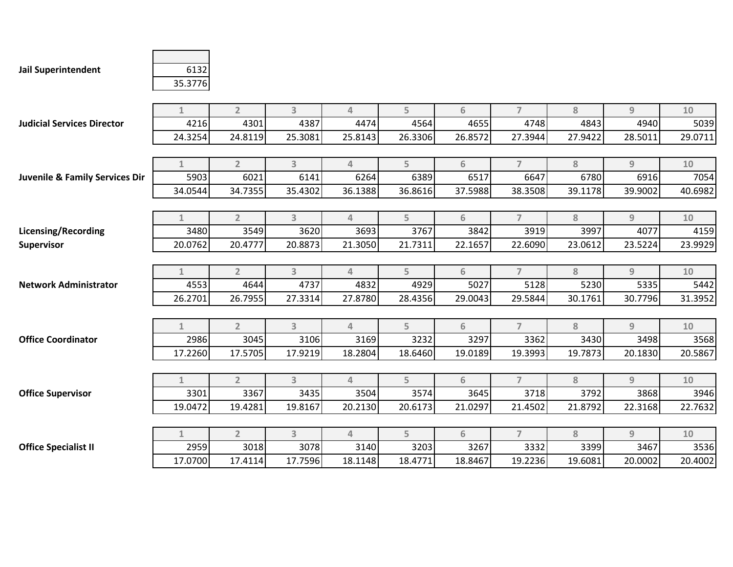**Jail Superintendent** 6132

## 35.3776

|                                           | $\mathbf{1}$ | $\overline{2}$ | 3                       | $\overline{4}$ | 5       | 6       | $\overline{7}$ | 8       | $\overline{9}$ | 10      |
|-------------------------------------------|--------------|----------------|-------------------------|----------------|---------|---------|----------------|---------|----------------|---------|
| <b>Judicial Services Director</b>         | 4216         | 4301           | 4387                    | 4474           | 4564    | 4655    | 4748           | 4843    | 4940           | 5039    |
|                                           | 24.3254      | 24.8119        | 25.3081                 | 25.8143        | 26.3306 | 26.8572 | 27.3944        | 27.9422 | 28.5011        | 29.0711 |
|                                           |              |                |                         |                |         |         |                |         |                |         |
|                                           | $\mathbf{1}$ | $\overline{2}$ | 3                       | $\overline{4}$ | 5       | 6       | $\overline{7}$ | 8       | $\overline{9}$ | 10      |
| <b>Juvenile &amp; Family Services Dir</b> | 5903         | 6021           | 6141                    | 6264           | 6389    | 6517    | 6647           | 6780    | 6916           | 7054    |
|                                           | 34.0544      | 34.7355        | 35.4302                 | 36.1388        | 36.8616 | 37.5988 | 38.3508        | 39.1178 | 39.9002        | 40.6982 |
|                                           |              |                |                         |                |         |         |                |         |                |         |
|                                           | $\mathbf{1}$ | $\overline{2}$ | 3                       | $\overline{4}$ | 5       | 6       | $\overline{7}$ | 8       | $\overline{9}$ | 10      |
| <b>Licensing/Recording</b>                | 3480         | 3549           | 3620                    | 3693           | 3767    | 3842    | 3919           | 3997    | 4077           | 4159    |
| <b>Supervisor</b>                         | 20.0762      | 20.4777        | 20.8873                 | 21.3050        | 21.7311 | 22.1657 | 22.6090        | 23.0612 | 23.5224        | 23.9929 |
|                                           |              |                |                         |                |         |         |                |         |                |         |
|                                           | $\mathbf{1}$ | $\overline{2}$ | $\overline{3}$          | $\overline{4}$ | 5       | 6       | $\overline{7}$ | 8       | $\overline{9}$ | 10      |
| <b>Network Administrator</b>              | 4553         | 4644           | 4737                    | 4832           | 4929    | 5027    | 5128           | 5230    | 5335           | 5442    |
|                                           | 26.2701      | 26.7955        | 27.3314                 | 27.8780        | 28.4356 | 29.0043 | 29.5844        | 30.1761 | 30.7796        | 31.3952 |
|                                           |              |                |                         |                |         |         |                |         |                |         |
|                                           | $\mathbf{1}$ | $\overline{2}$ | $\overline{3}$          | 4              | 5       | 6       | $\overline{7}$ | 8       | $\overline{9}$ | 10      |
| <b>Office Coordinator</b>                 | 2986         | 3045           | 3106                    | 3169           | 3232    | 3297    | 3362           | 3430    | 3498           | 3568    |
|                                           | 17.2260      | 17.5705        | 17.9219                 | 18.2804        | 18.6460 | 19.0189 | 19.3993        | 19.7873 | 20.1830        | 20.5867 |
|                                           |              |                |                         |                |         |         |                |         |                |         |
|                                           | $\mathbf{1}$ | $\overline{2}$ | $\overline{\mathbf{3}}$ | $\overline{4}$ | 5       | 6       | $\overline{7}$ | 8       | $\overline{9}$ | 10      |
| <b>Office Supervisor</b>                  | 3301         | 3367           | 3435                    | 3504           | 3574    | 3645    | 3718           | 3792    | 3868           | 3946    |
|                                           | 19.0472      | 19.4281        | 19.8167                 | 20.2130        | 20.6173 | 21.0297 | 21.4502        | 21.8792 | 22.3168        | 22.7632 |
|                                           |              |                |                         |                |         |         |                |         |                |         |
|                                           | $\mathbf{1}$ | $\overline{2}$ | $\overline{3}$          | $\overline{4}$ | 5       | 6       | $\overline{7}$ | 8       | $\overline{9}$ | 10      |
| <b>Office Specialist II</b>               | 2959         | 3018           | 3078                    | 3140           | 3203    | 3267    | 3332           | 3399    | 3467           | 3536    |
|                                           | 17.0700      | 17.4114        | 17.7596                 | 18.1148        | 18.4771 | 18.8467 | 19.2236        | 19.6081 | 20.0002        | 20.4002 |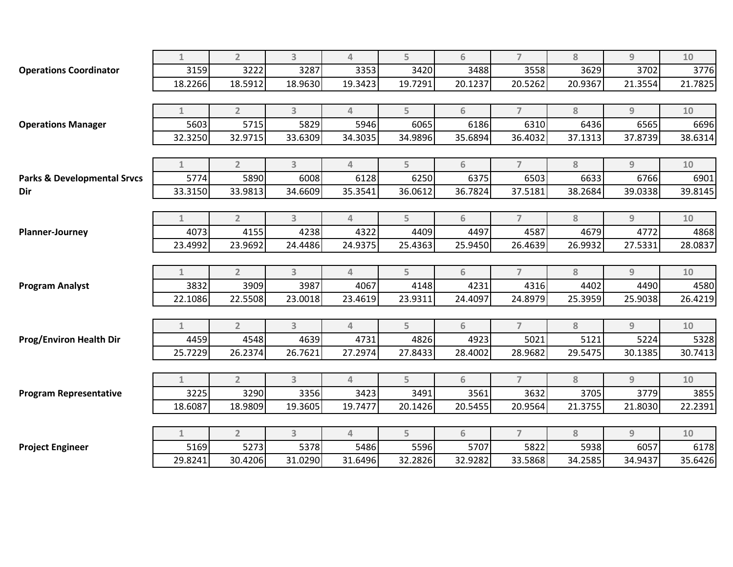|                                                                                                                      | $\mathbf{1}$ | $\overline{2}$ | 3              | $\Delta$       | 5       | 6       | $\overline{7}$ | 8       | $\overline{9}$ | 10      |
|----------------------------------------------------------------------------------------------------------------------|--------------|----------------|----------------|----------------|---------|---------|----------------|---------|----------------|---------|
| <b>Operations Coordinator</b>                                                                                        | 3159         | 3222           | 3287           | 3353           | 3420    | 3488    | 3558           | 3629    | 3702           | 3776    |
|                                                                                                                      | 18.2266      | 18.5912        | 18.9630        | 19.3423        | 19.7291 | 20.1237 | 20.5262        | 20.9367 | 21.3554        | 21.7825 |
|                                                                                                                      |              |                |                |                |         |         |                |         |                |         |
|                                                                                                                      | $\mathbf{1}$ | $\overline{2}$ | $\overline{3}$ | 4              | 5       | 6       | $\overline{7}$ | 8       | 9              | 10      |
| <b>Operations Manager</b>                                                                                            | 5603         | 5715           | 5829           | 5946           | 6065    | 6186    | 6310           | 6436    | 6565           | 6696    |
|                                                                                                                      | 32.3250      | 32.9715        | 33.6309        | 34.3035        | 34.9896 | 35.6894 | 36.4032        | 37.1313 | 37.8739        | 38.6314 |
|                                                                                                                      |              |                |                |                |         |         |                |         |                |         |
|                                                                                                                      | $\mathbf{1}$ | $\overline{2}$ | $\overline{3}$ | $\Delta$       | 5       | 6       | $\overline{7}$ | 8       | 9              | 10      |
| <b>Parks &amp; Developmental Srvcs</b>                                                                               | 5774         | 5890           | 6008           | 6128           | 6250    | 6375    | 6503           | 6633    | 6766           | 6901    |
| Dir                                                                                                                  | 33.3150      | 33.9813        | 34.6609        | 35.3541        | 36.0612 | 36.7824 | 37.5181        | 38.2684 | 39.0338        | 39.8145 |
|                                                                                                                      |              |                |                |                |         |         |                |         |                |         |
|                                                                                                                      | $\mathbf{1}$ | $\overline{2}$ | $\overline{3}$ | 4              | 5       | 6       | $\overline{7}$ | 8       | 9              | 10      |
| <b>Planner-Journey</b>                                                                                               | 4073         | 4155           | 4238           | 4322           | 4409    | 4497    | 4587           | 4679    | 4772           | 4868    |
|                                                                                                                      | 23.4992      | 23.9692        | 24.4486        | 24.9375        | 25.4363 | 25.9450 | 26.4639        | 26.9932 | 27.5331        | 28.0837 |
|                                                                                                                      |              |                |                |                |         |         |                |         |                |         |
|                                                                                                                      | $\mathbf{1}$ | $\overline{2}$ | 3              | 4              | 5       | 6       | $\overline{7}$ | 8       | 9              | 10      |
|                                                                                                                      | 3832         | 3909           | 3987           | 4067           | 4148    | 4231    | 4316           | 4402    | 4490           | 4580    |
|                                                                                                                      | 22.1086      | 22.5508        | 23.0018        | 23.4619        | 23.9311 | 24.4097 | 24.8979        | 25.3959 | 25.9038        | 26.4219 |
|                                                                                                                      |              |                |                |                |         |         |                |         |                |         |
|                                                                                                                      | $\mathbf{1}$ | $\overline{2}$ | 3              | $\overline{4}$ | 5       | 6       | $\overline{7}$ | 8       | 9              | 10      |
|                                                                                                                      | 4459         | 4548           | 4639           | 4731           | 4826    | 4923    | 5021           | 5121    | 5224           | 5328    |
|                                                                                                                      | 25.7229      | 26.2374        | 26.7621        | 27.2974        | 27.8433 | 28.4002 | 28.9682        | 29.5475 | 30.1385        | 30.7413 |
|                                                                                                                      |              |                |                |                |         |         |                |         |                |         |
|                                                                                                                      | $\mathbf{1}$ | $\overline{2}$ | 3              | $\overline{4}$ | 5       | 6       | $\overline{7}$ | 8       | 9              | $10$    |
|                                                                                                                      | 3225         | 3290           | 3356           | 3423           | 3491    | 3561    | 3632           | 3705    | 3779           | 3855    |
|                                                                                                                      | 18.6087      | 18.9809        | 19.3605        | 19.7477        | 20.1426 | 20.5455 | 20.9564        | 21.3755 | 21.8030        | 22.2391 |
|                                                                                                                      |              |                |                |                |         |         |                |         |                |         |
|                                                                                                                      | $\mathbf{1}$ | $\overline{2}$ | $\overline{3}$ | $\overline{4}$ | 5       | 6       | $\overline{7}$ | 8       | 9              | 10      |
|                                                                                                                      | 5169         | 5273           | 5378           | 5486           | 5596    | 5707    | 5822           | 5938    | 6057           | 6178    |
| <b>Program Analyst</b><br><b>Prog/Environ Health Dir</b><br><b>Program Representative</b><br><b>Project Engineer</b> | 29.8241      | 30.4206        | 31.0290        | 31.6496        | 32.2826 | 32.9282 | 33.5868        | 34.2585 | 34.9437        | 35.6426 |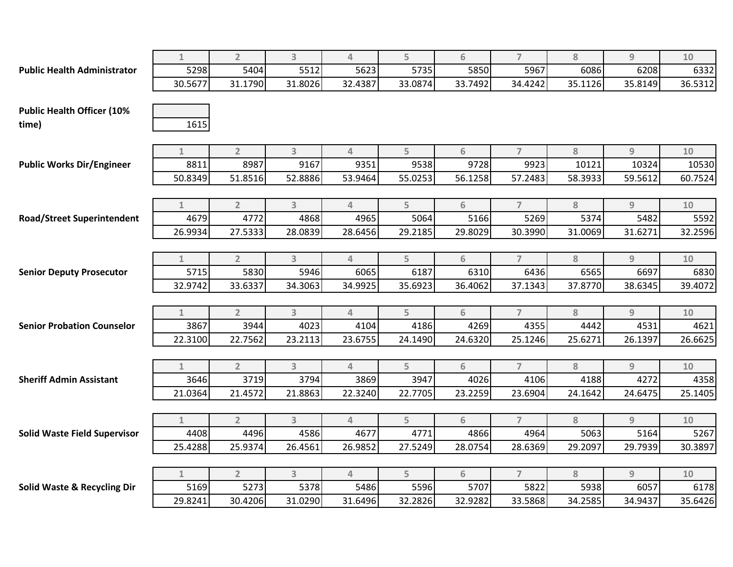|                                        | $\mathbf{1}$ | $\overline{2}$ | $\overline{3}$          | 4        | 5       | 6       | $\overline{7}$ | 8       | $\overline{9}$ | 10      |
|----------------------------------------|--------------|----------------|-------------------------|----------|---------|---------|----------------|---------|----------------|---------|
| <b>Public Health Administrator</b>     | 5298         | 5404           | 5512                    | 5623     | 5735    | 5850    | 5967           | 6086    | 6208           | 6332    |
|                                        | 30.5677      | 31.1790        | 31.8026                 | 32.4387  | 33.0874 | 33.7492 | 34.4242        | 35.1126 | 35.8149        | 36.5312 |
|                                        |              |                |                         |          |         |         |                |         |                |         |
| <b>Public Health Officer (10%</b>      |              |                |                         |          |         |         |                |         |                |         |
| time)                                  | 1615         |                |                         |          |         |         |                |         |                |         |
|                                        |              |                |                         |          |         |         |                |         |                |         |
|                                        | $\mathbf{1}$ | $\overline{2}$ | $\overline{\mathbf{3}}$ | $\Delta$ | 5       | 6       | $\overline{7}$ | 8       | $\overline{9}$ | 10      |
| <b>Public Works Dir/Engineer</b>       | 8811         | 8987           | 9167                    | 9351     | 9538    | 9728    | 9923           | 10121   | 10324          | 10530   |
|                                        | 50.8349      | 51.8516        | 52.8886                 | 53.9464  | 55.0253 | 56.1258 | 57.2483        | 58.3933 | 59.5612        | 60.7524 |
|                                        |              |                |                         |          |         |         |                |         |                |         |
|                                        | $\mathbf{1}$ | $\overline{2}$ | 3                       | $\Delta$ | 5       | 6       | $\overline{7}$ | 8       | $\overline{9}$ | $10$    |
| <b>Road/Street Superintendent</b>      | 4679         | 4772           | 4868                    | 4965     | 5064    | 5166    | 5269           | 5374    | 5482           | 5592    |
|                                        | 26.9934      | 27.5333        | 28.0839                 | 28.6456  | 29.2185 | 29.8029 | 30.3990        | 31.0069 | 31.6271        | 32.2596 |
|                                        |              |                |                         |          |         |         |                |         |                |         |
|                                        | $\mathbf{1}$ | $\overline{2}$ | 3                       | 4        | 5       | 6       | $\overline{7}$ | 8       | 9              | 10      |
| <b>Senior Deputy Prosecutor</b>        | 5715         | 5830           | 5946                    | 6065     | 6187    | 6310    | 6436           | 6565    | 6697           | 6830    |
|                                        | 32.9742      | 33.6337        | 34.3063                 | 34.9925  | 35.6923 | 36.4062 | 37.1343        | 37.8770 | 38.6345        | 39.4072 |
|                                        |              |                |                         |          |         |         |                |         |                |         |
|                                        | $\mathbf{1}$ | $\overline{2}$ | $\overline{3}$          | $\Delta$ | 5       | 6       | $\overline{7}$ | 8       | $\overline{9}$ | $10$    |
| <b>Senior Probation Counselor</b>      | 3867         | 3944           | 4023                    | 4104     | 4186    | 4269    | 4355           | 4442    | 4531           | 4621    |
|                                        | 22.3100      | 22.7562        | 23.2113                 | 23.6755  | 24.1490 | 24.6320 | 25.1246        | 25.6271 | 26.1397        | 26.6625 |
|                                        |              |                |                         |          |         |         |                |         |                |         |
|                                        | $\mathbf{1}$ | $\overline{2}$ | 3                       | 4        | 5       | 6       | $\overline{7}$ | 8       | $\overline{9}$ | 10      |
| <b>Sheriff Admin Assistant</b>         | 3646         | 3719           | 3794                    | 3869     | 3947    | 4026    | 4106           | 4188    | 4272           | 4358    |
|                                        | 21.0364      | 21.4572        | 21.8863                 | 22.3240  | 22.7705 | 23.2259 | 23.6904        | 24.1642 | 24.6475        | 25.1405 |
|                                        |              |                |                         |          |         |         |                |         |                |         |
|                                        | $\mathbf{1}$ | $\overline{2}$ | $\overline{3}$          | 4        | 5       | 6       | $\overline{7}$ | 8       | 9              | 10      |
| <b>Solid Waste Field Supervisor</b>    | 4408         | 4496           | 4586                    | 4677     | 4771    | 4866    | 4964           | 5063    | 5164           | 5267    |
|                                        | 25.4288      | 25.9374        | 26.4561                 | 26.9852  | 27.5249 | 28.0754 | 28.6369        | 29.2097 | 29.7939        | 30.3897 |
|                                        |              |                |                         |          |         |         |                |         |                |         |
|                                        | $\mathbf{1}$ | $\overline{2}$ | $\overline{3}$          | $\Delta$ | 5       | 6       | $\overline{7}$ | 8       | $\overline{9}$ | 10      |
| <b>Solid Waste &amp; Recycling Dir</b> | 5169         | 5273           | 5378                    | 5486     | 5596    | 5707    | 5822           | 5938    | 6057           | 6178    |
|                                        | 29.8241      | 30.4206        | 31.0290                 | 31.6496  | 32.2826 | 32.9282 | 33.5868        | 34.2585 | 34.9437        | 35.6426 |
|                                        |              |                |                         |          |         |         |                |         |                |         |